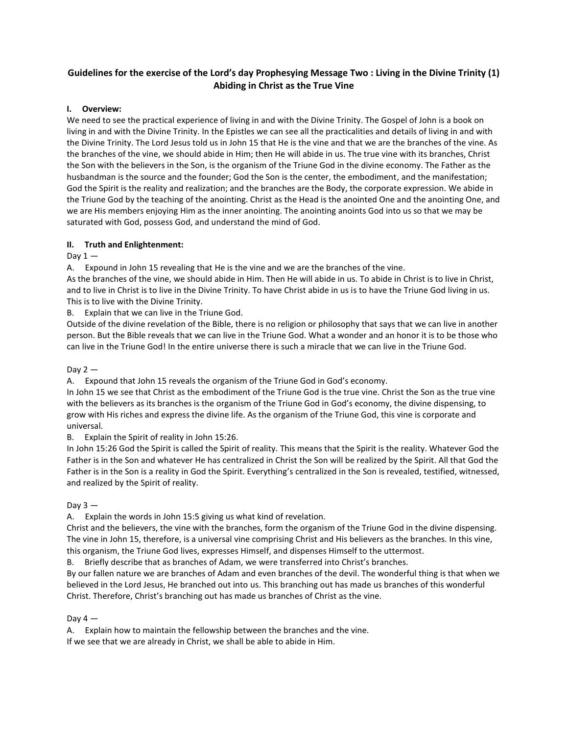# **Guidelines for the exercise of the Lord's day Prophesying Message Two : Living in the Divine Trinity (1) Abiding in Christ as the True Vine**

## **I. Overview:**

We need to see the practical experience of living in and with the Divine Trinity. The Gospel of John is a book on living in and with the Divine Trinity. In the Epistles we can see all the practicalities and details of living in and with the Divine Trinity. The Lord Jesus told us in John 15 that He is the vine and that we are the branches of the vine. As the branches of the vine, we should abide in Him; then He will abide in us. The true vine with its branches, Christ the Son with the believers in the Son, is the organism of the Triune God in the divine economy. The Father as the husbandman is the source and the founder; God the Son is the center, the embodiment, and the manifestation; God the Spirit is the reality and realization; and the branches are the Body, the corporate expression. We abide in the Triune God by the teaching of the anointing. Christ as the Head is the anointed One and the anointing One, and we are His members enjoying Him as the inner anointing. The anointing anoints God into us so that we may be saturated with God, possess God, and understand the mind of God.

# **II. Truth and Enlightenment:**

# Day  $1-$

A. Expound in John 15 revealing that He is the vine and we are the branches of the vine.

As the branches of the vine, we should abide in Him. Then He will abide in us. To abide in Christ is to live in Christ, and to live in Christ is to live in the Divine Trinity. To have Christ abide in us is to have the Triune God living in us. This is to live with the Divine Trinity.

B. Explain that we can live in the Triune God.

Outside of the divine revelation of the Bible, there is no religion or philosophy that says that we can live in another person. But the Bible reveals that we can live in the Triune God. What a wonder and an honor it is to be those who can live in the Triune God! In the entire universe there is such a miracle that we can live in the Triune God.

## Day  $2 -$

A. Expound that John 15 reveals the organism of the Triune God in God's economy.

In John 15 we see that Christ as the embodiment of the Triune God is the true vine. Christ the Son as the true vine with the believers as its branches is the organism of the Triune God in God's economy, the divine dispensing, to grow with His riches and express the divine life. As the organism of the Triune God, this vine is corporate and universal.

B. Explain the Spirit of reality in John 15:26.

In John 15:26 God the Spirit is called the Spirit of reality. This means that the Spirit is the reality. Whatever God the Father is in the Son and whatever He has centralized in Christ the Son will be realized by the Spirit. All that God the Father is in the Son is a reality in God the Spirit. Everything's centralized in the Son is revealed, testified, witnessed, and realized by the Spirit of reality.

## Day  $3 -$

A. Explain the words in John 15:5 giving us what kind of revelation.

Christ and the believers, the vine with the branches, form the organism of the Triune God in the divine dispensing. The vine in John 15, therefore, is a universal vine comprising Christ and His believers as the branches. In this vine, this organism, the Triune God lives, expresses Himself, and dispenses Himself to the uttermost.

B. Briefly describe that as branches of Adam, we were transferred into Christ's branches.

By our fallen nature we are branches of Adam and even branches of the devil. The wonderful thing is that when we believed in the Lord Jesus, He branched out into us. This branching out has made us branches of this wonderful Christ. Therefore, Christ's branching out has made us branches of Christ as the vine.

## Day  $4-$

A. Explain how to maintain the fellowship between the branches and the vine.

If we see that we are already in Christ, we shall be able to abide in Him.